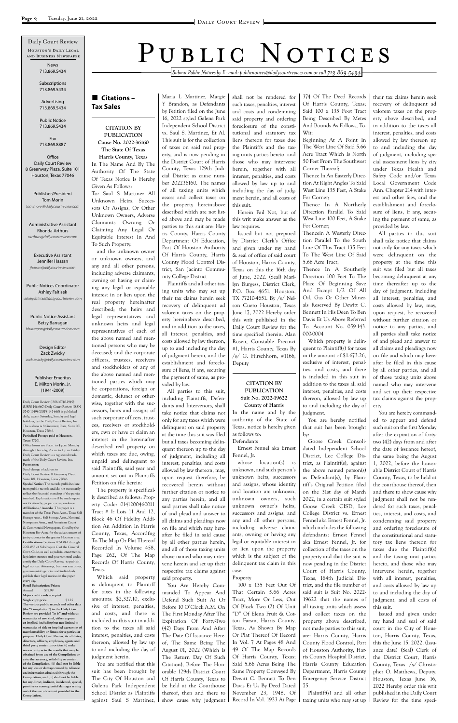*Submit Public Notices by E-mail: publicnotices@dailycourtreview.com or call 713.869.5434*

## **Citations – Tax Sales**

#### **CITATION BY PUBLICATION Cause No. 2022-36160**

**The State Of Texas Harris County, Texas** In The Name And By The Authority Of The State Of Texas Notice Is Hereby Given As Follows: To: Saul S Martinez All Unknown Heirs, Successors Or Assigns, Or Other Unknown Owners, Adverse Claimants Owning Or Claiming Any Legal Or Equitable Interest In And To Such Property.

and the unknown owner or unknown owners, and any and all other persons, including adverse claimants, owning or having or claiming any legal or equitable interest in or lien upon the real property hereinafter described; the heirs and legal representatives and unknown heirs and legal representatives of each of the above named and mentioned persons who may be deceased; and the corporate officers, trustees, receivers and stockholders of any of the above named and mentioned parties which may be corporations, foreign or domestic, defunct or otherwise, together with the successors, heirs and assigns of such corporate officers, trustees, receivers or stockholders, own or have or claim an interest in the hereinafter described real property on which taxes are due, owing, unpaid and delinquent to said Plaintiffs, said year and amount set out in Plaintiffs Petition on file herein:

The property is specifically described as follows: Property Code: 0141200460011 Tract # 1: Lots 11 And 12, Block 46 Of Fidelity Addition An Addition In Harris

County, Texas, Accordfng To The Map Or Plat Thereof Recorded In Volume 458, Page 262, Of The Map Records Of Harris County, Texas.

Which said property is delinquent to Plaintiff for taxes in the following amounts: \$2,327.10, exclusive of interest, penalties, and costs, and there is included in this suit in addition to the taxes all said interest, penalties, and costs thereon, allowed by law up to and including the day of judgment herein.

You are notified that this suit has been brought by The City Of Houston and Galena Park Independent School District as Plaintiffs against Saul S Martinez, Maria L Martinez, Margie Y Brandon, as Defendants by Petition filed on the June 16, 2022 styled Galena Park Independent School District vs. Saul S. Martinez, Et Al. This suit is for the collection of taxes on said real property, and is now pending in the District Court of Harris County, Texas 129th Judicial District as cause number 202236160. The names of all taxing units which assess and collect taxes on the property hereinabove described which are not listed above and may be made parties to this suit are: Harris County, Harris County Department Of Education, Port Of Houston Authority Of Harris County, Harris County Flood Control District, San Jacinto Commu-

nity College District Plaintiffs and all other taxing units who may set up their tax claims herein seek recovery of delinquent ad valorem taxes on the property hereinabove described, and in addition to the taxes, all interest, penalties, and costs allowed by law thereon, up to and including the day of judgment herein, and the establishment and foreclosure of liens, if any, securing the payment of same, as provided by law.

All parties to this suit, including Plaintiffs, Defendants and Intervenors, shall take notice that claims not only for any taxes which were delinquent on said property at the time this suit was filed but all taxes becoming delinquent thereon up to the day of judgment, including all interest, penalties, and costs allowed by law thereon, may, upon request therefore, be recovered herein without further citation or notice to any parties herein, and all said parties shall take notice of and plead and answer to all claims and pleadings now on file and which may here-

after be filed in said cause by all other parties herein, and all of those taxing units above named who may intervene herein and set up their respective tax claims against said property.

You Are Hereby Commanded To Appear And Defend Such Suit At Or Before 10 O'Clock A.M. On The First Monday After The Expiration Of Forty-Two (42) Days From And After The Date Of Issuance Hereof, The Same Being The August 01, 2022 (Which Is The Return Day Of Such Citation), Before The Honorable 129th District Court Of Harris County, Texas to be held at the Courthouse thereof, then and there to show cause why judgment

shall not be rendered for such taxes, penalties, interest and costs and condemning said property and ordering foreclosure of the constitutional and statutory tax liens thereon for taxes due the Plaintiffs and the taxing units parties hereto, and those who may intervene herein, together with all interest, penalties, and costs allowed by law up to and including the day of judgment herein, and all costs of this suit.

Herein Fail Not, but of this writ make answer as the law requires.

Issued but not prepared by District Clerk's Office and given under my hand & seal of office of said court of Houston, Harris County, Texas on this the 16th day of June, 2022. (Seal) Marilyn Burgess, District Clerk, P.O. Box 4651, Houston, TX 77210-4651. By /s/ Nelson Cuero Houston, Texas June 17, 2022 Hereby order this writ published in the Daily Court Review for the time specified therein. Alan Rosen, Constable Precinct #1, Harris County, Texas By /s/ G. Hirschhorn, #1166, Deputy

#### **CITATION BY PUBLICATION Suit No. 2022-19622 County of Harris**

In the name and by the authority of the State of Texas, notice is hereby given as follows to: Defendants

Ernest Fennel aka Ernest Fennel, Jr.

whose location(s) is unknown, and such person's unknown heirs, successors and assigns, whose identity and location are unknown, unknown owners, such unknown owner's heirs, successors and assigns, and any and all other persons, including adverse claimants, owning or having any legal or equitable interest in or lien upon the property which is the subject of the delinquent tax claim in this case.

#### Property

100 x 135 Feet Out Of That Certain 5.66 Acres Tract, More Or Less, Out Of Block Two (2) Of Unit "D" Of Elena Fruit & Cotton Farsm, Harris County, Texas, As Shown By Map Or Plat Thereof Of Record In Vol. 7 At Pages 48 And 49 Of The Map Records Of Harris County, Texas; Said 5.66 Acres Being The Same Property Conveyed By Dewitt C. Bennett To Ben Davis Et Us By Deed Dated November 23, 1948, Of Record In Vol. 1923 At Page

374 Of The Deed Records Of Harris County, Texas; Said 100 x 135 Foot Tract Being Described By Metes And Bounds As Follows, To-Wit:

Beginning At A Point In The West Line Of Said 5.66 Acre Tract Which Is North 50 Feet From The Southwest Corner Thereof;

Office Daily Court Review 8 Greenway Plaza, Suite 101 Houston, Texas 77046

Thence In An Easterly Direction At Right Angles To Said West Line 135 Feet, A Stake For Corner;

Thence In A Northerly Direction Parallel To Said West Line 100 Feet, A Stake For Corner;

Thencein A Westerly Direction Parallel To the South Line Of This Tract 135 Feet To The West Line Of Said 5.66 Acre Tract;

Thence In A Southerly Direction 100 Feet To The Place Of Beginning Save And Except 1/2 Of All Oil, Gas Or Other Minerals Reserved By Dewitt C. Bennett In His Deen To Ben Davis Et Us Above Referred To. Account No. 059-143- 000-0004

Which property is delinquent to Plaintiff(s) for taxes in the amount of \$1.673.26, exclusive of interest, penalties, and costs, and there is included in this suit in addition to the taxes all said interest, penalties, and costs thereon, allowed by law up to and including the day of judgment.

You are hereby notified that suit has been brought by:

Goose Creek Consolidated Independent School District, Lee College District, as Plaintiff(s), against the above named person(s) as Defendant(s), by Plaintiff's Original Petition filed on the 31st day of March 2022, in a certain suit styled Goose Creek CISD, Lee College District vs. Ernest Fennel aka Ernest Fennel, Jr. which includes the following defendants: Ernest Fennel aka Ernest Fennel, Jr. for collection of the taxes on the property and that the suit is now pending in the District Court of Harris County, Texas, 164th Judicial District, and the file number of said suit is Suit No. 2022- 19622 that the names of all taxing units which assess and collect taxes on the property above described, not made parties to this suit, are: Harris County, Harris County Flood Control, Port of Houston Authority, Harris County Hospital District, Harris County Education Department, Harris County Emergency Service District 75.

Plaintiff(s) and all other taxing units who may set up

their tax claims herein seek recovery of delinquent ad valorem taxes on the property above described, and in addition to the taxes all interest, penalties, and costs allowed by law thereon up to and including the day of judgment, including special assessment liens by city under Texas Health and Safety Code and/or Texas Local Government Code Ann. Chapter 214 with interest and other fees, and the establishment and foreclosure of liens, if any, securing the payment of same, as provided by law.

All parties to this suit shall take notice that claims not only for any taxes which were delinquent on the property at the time this suit was filed but all taxes becoming delinquent at any time thereafter up to the day of judgment, including all interest, penalties, and costs allowed by law, may, upon request, be recovered without further citation or notice to any parties, and all parties shall take notice of and plead and answer to all claims and pleadings now on file and which may hereafter be filed in this cause by all other parties, and all of those taxing units above named who may intervene and set up their respective tax claims against the property.

You are hereby commanded to appear and defend such suit on the first Monday after the expiration of fortytwo (42) days from and after the date of issuance hereof, the same being the August 1, 2022, before the honorable District Court of Harris County, Texas, to be held at the courthouse thereof, then and there to show cause why judgment shall not be rendered for such taxes, penalties, interest, and costs, and condemning said property and ordering foreclosure of the constitutional and statutory tax liens thereon for taxes due the Plaintiff(s) and the taxing unit parties hereto, and those who may intervene herein, together with all interest, penalties, and costs allowed by law up to and including the day of judgment, and all costs of this suit. Issued and given under my hand and seal of said court in the City of Houston, Harris County, Texas, this the June 15, 2022. (Issuance date) (Seal) Clerk of the District Court, Harris County, Texas /s/ Christopher O. Matthews, Deputy. Houston, Texas June 16, 2022 Hereby order this writ published in the Daily Court Review for the time speci-

Daily Court Review (ISSN 0740-1949) (USPS 146-660) Daily Court Review (ISSN 0740-1949) (USPS 142-660) is published daily, except Saturday, Sunday and legal holidays, by the Daily Court Review, Inc. The address is 8 Greenway Plaza, Suite 101, Houston, Texas 77046. **Periodical Postage paid at Houston, Texas 77201** Office hours are 9 a.m. to 4 p.m. Monday

through Thursday, 9 a.m. to 1 p.m. Friday. Daily Court Review is a registered trademark of the Daily Court Review, Inc. **Postmaster:** Send change of address to

Daily Court Review, 8 Greenway Plaza, Suite 101, Houston, Texas 77046. **Special Notice:** The records published are from public records and do not necessarily reflect the financial standing of the parties involved. Explanations will be made upon notification by proper correspondence. **Affiliations / Awards:** This paper is a member of the Texas Press Assn., Texas Self Storage Assn., Self Storage Assn., National Newspaper Assn., and American Court & Commercial Newspapers. Cited by the

PUBLIC NOTICES

Houston's Daily Legal and Business Newspaper Daily Court Review

Houston Bar Assn. for the advancement of urisprudence in the greater Houston area. **Certifications:** Sections 2051.041 through 2051.053 of Subchapter C of the General Govt. Code, as well as judicial enactments, legislative statutes and governmental codes, certify the Daily Court Review to publish legal notices. Attorneys, business executive governmental agencies and individuals publish their legal notices in the paper every day.

**Retail Subscription Prices:**

Annual \$19.99 **Major credit cards accepted.**

**Single copy price.** \$1.25 **The various public records and other data (the "Compilation") in the Daily Court Review are provided "as is" and without warranties of any kind, either express or implied, including but not limited to warranties of title or implied warranties of merchantability or fitness for a particular purpose. Daily Court Review, its affiliates, directors, officers, employees, agents and third party content providers (i) make no warranty as to the results that may be obtained from use of the Compilation or**  as to the accuracy, reliability or cont **of the Compilation, (ii) shall not be liable for any loss or damage caused by reliance on information obtained through the Compilation, and (iii) shall not be liable for any direct, indirect, incidental, special, punitive or consequential damages arising out of the use of content provided in the Compilation.**

News 713.869.5434

Subscriptions 713.869.5434

Advertising 713.869.5434

Public Notice 713.869.5434

Fax 713.869.8887

Publisher/President Tom Morin *tom.morin@dailycourtreview.com*

Administrative Assistant Rhonda Arthurs *rarthurs@dailycourtreview.com*

Executive Assistant Jennifer Hassan *jhassan@dailycourtreview.com*

Public Notices Coordinator Ashley Faltisek *ashley.faltisek@dailycourtreview.com*

Public Notice Assistant Betsy Barragan *bbarragan@dailycourtreview.com*

Design Editor Zack Zwicky *zack.zwicky@dailycourtreview.com*

#### Publisher Emeritus E. Milton Morin, Jr. (1941-2009)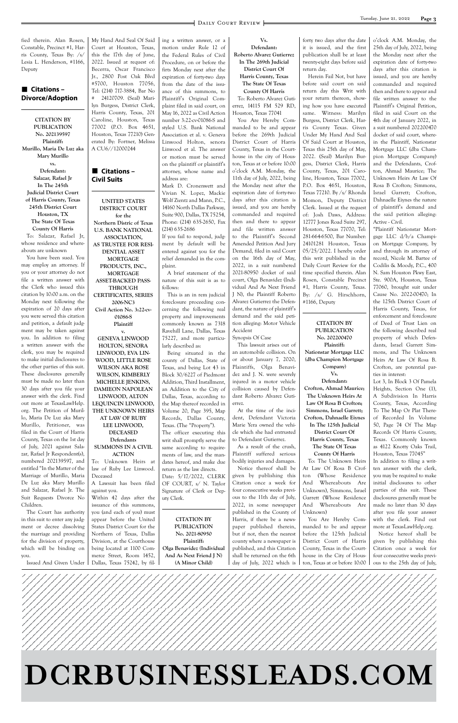

fied therein. Alan Rosen, Constable, Precinct #1, Harris County, Texas By: /s/ Lesia L. Henderson, #1166, Deputy

### **Citations – Divorce/Adoption**

**CITATION BY PUBLICATION No. 202139597 Plaintiff: Murillo, Maria De Luz aka Mary Murillo vs. Defendant: Salazar, Rafael Jr In The 245th Judicial District Court of Harris County, Texas 245th District Court Houston, TX The State Of Texas County Of Harris** To: Salazar, Rafael Jr, whose residence and whereabouts are unknown

You have been sued. You may employ an attorney. If you or your attorney do not file a written answer with the Clerk who issued this citation by 10:00 a.m. on the Monday next following the expiration of 20 days after you were served this citation and petition, a default judgment may be taken against you. In addition to filing a written answer with the clerk, you may be required to make initial disclosures to the other parties of this suit. These disclosures generally must be made no later than 30 days after you file your answer with the clerk. Find out more at TexasLawHelp. org. The Petition of Murillo, Maria De Luz aka Mary Murillo, Petitioner, was filed in the Court of Harris County, Texas on the 1st day of July, 2021 against Salazar, Rafael Jr Respondent(s), numbered 202139597, and entitled "In the Matter of the Marriage of Murillo, Maria De Luz aka Mary Murillo and Salazar, Rafael Jr. The Suit Requests Divorce No Children.

The Court has authority in this suit to enter any judgment or decree dissolving My Hand And Seal Of Said Court at Houston, Texas, this the 17th day of June, 2022. Issued at request of: Becerra, Oscar Francisco Jr., 2800 Post Oak Blvd #5700, Houston 77056, Tel: (214) 717-3884, Bar No # 24120709. (Seal) Marilyn Burgess, District Clerk, Harris County, Texas, 201 Caroline, Houston, Texas 77002 (P.O. Box 4651, Houston, Texas 77210) Generated By: Fortner, Melissa A CU6//12000244

### **Citations – Civil Suits**

**UNITED STATES DISTRICT COURT for the Northern Distric of Texas U.S. BANK NATIONAL ASSOCIATION, AS TRUSTEE FOR RESI-DENTIAL ASSET MORTGAGE PRODUCTS, INC., MORTGAGE ASSET-BACKED PASS-THROUGH CERTIFICATES, SERIES 2006-NC3 Civil Action No. 3:22-cv-01086-S Plaintiff v. GENEVA LINWOOD HOLTON, SENORA LINWOOD, EVA LIN-WOOD, LITTLE ROSE WILSON AKA ROSE WILSON, KIMBERLY MICHELLE JENKINS, DAMIEON NAPOLEAN LINWOOD, ALTON LEQUINCIN LINWOOD, THE UNKNOWN HEIRS** 

#### **AT LAW OF RUBY LEE LINWOOD, DECEASED Defendants SUMMONS IN A CIVIL**

# **ACTION**

To: Unknown Heirs at law of Ruby Lee Linwood. Deceased

A Lawsuit has been filed against you.

Within 42 days after the issuance of this summons, you (and each of you) must appear before the United States District Court for the ing a written answer, or a motion under Rule 12 of the Federal Rules of Civil Procedure, on or before the firts Monday next after the expiration of forty-two days from the date of the issuance of this summons, to Plaintiff's Original Complaint filed in said court, on May 16, 2022 as Civil Action number 3:22-cv-01086-S and styled U.S. Bank National Association et al. v. Geneva Linwood Holton, senora Linwood et al. The answer or motion must be served on the plaintiff or plaintiff's attorney, whose name and address are:

Mark D. Cronenwett and Vivian N. Lopez, Mackie Wolf Zientz and Mann, P.C., 14160 North Dallas Parkway, Suite 900, Dallas, TX 75254, Phone: (214) 635-2650, Fax (214) 635-2686

If you fail to respond, judgment by default will be entered against you for the relief demanded in the complaint.

A brief statement of the nature of this suit is as to follows:

This is an in rem judicial foreclosure proceeding concerning the following real property and improvements commonly known as 7318 Ravehill Lane, Dallas, Texas 75227, and more particularly described as:

Being situated in the county of Dallas, State of Texas, and being Lot 43 in Block 30/6227 of Piedmont Addition, Third Installment, an Addition to the City of Dallas, Texas, according to the Map thereof recorded in Volume 20, Page 395, Map Records, Dallas County, Texas. (The "Property"). The officer executing this writ shall promptly serve the

same according to requirements of law, and the mandates hereof, and make due return as the law directs.

Date: 5/17/2022, CLERK OF COURT, s/ N. Taylor Signature of Clerk or Deputy Clerk.

#### **CITATION BY PUBLICATION**

**Vs. Defendant: Roberto Alvarez Gutierrez In The 269th Judicial District Court Of**

**Harris County, Texas The State Of Texas County Of Harris**

To: Roberto Alvarez Gutierrez, 14115 FM 529 RD, Houston, Texas 77041

You Are Hereby Commanded to be and appear before the 269th Judicial District Court of Harris County, Texas in the Courthouse in the city of Houston, Texas at or before 10:00 o'clock A.M. Monday, the 11th day of July, 2022, being the Monday next after the expiration date of forty-two days after this citation is issued, and you are hereby commanded and required then and there to appear and file written answer to the Plaintiff's Second Amended Petition And Jury Demand, filed in said Court on the 16th day of May, 2022, in a suit numbered 2021-80950 docket of said court, Olga Benavidez (Individual And As Next Friend J N), the Plaintiff Roberto Alvarez Gutierrez the Defendant, the nature of plaintiff's demand and the said petition alleging: Motor Vehicle Accident

Synopsis Of Case

|      | the marriage and providing   Northern of Texas, Dallas                                                                                                                 | No. 2021-80950          | but if not, then the nearest   before the 125th Judicial   Notice hereof shall be                                               |                                                                                           |  |
|------|------------------------------------------------------------------------------------------------------------------------------------------------------------------------|-------------------------|---------------------------------------------------------------------------------------------------------------------------------|-------------------------------------------------------------------------------------------|--|
|      | for the division of property,   Division, at the Courthouse                                                                                                            | Plaintiff:              |                                                                                                                                 | county where a newspaper is   District Court of Harris   given by publishing this         |  |
|      | which will be binding on being located at 1100 Com   Olga Benavidez (Individual   published, and this Citation   County, Texas in the Court   Citation once a week for |                         |                                                                                                                                 |                                                                                           |  |
| you. | merce Street, Room 1452,                                                                                                                                               | And As Next Friend I N) |                                                                                                                                 | shall be returned on the 6th   house in the City of Hous-   four consecutive weeks previ- |  |
|      | Issued And Given Under   Dallas, Texas 75242, by fil-                                                                                                                  | (A Minor Child)         | $\frac{1}{2}$ day of July, 2022 which is $\frac{1}{2}$ ton, Texas at or before 10:00 $\frac{1}{2}$ ous to the 25th day of July, |                                                                                           |  |

This lawsuit arises out of an automobile collision. On or about January 7, 2020, Plaintiffs, Olga Benavidez and J. N. were severely injured in a motor vehicle collision caused by Defendant Roberto Alvarez Gutierrez.

At the time of the incident, Defendant Victoria Marie Yera owned the vehicle which she had entrusted to Defendant Gutierrez.

As a result of the crush, Plaintiff suffered serious bodily injuries and damages.

Notice thereof shall be given by publishing this Citation once a week for four consecutive weeks previous to the 11th day of July, 2022, in some newspaper published in the County of Harris, if there be a newspaper published therein,

forty two days after the date it is issued, and the first publication shall be at least twenty-eight days before said return day.

Herein Fail Not, but have before said court on said return day this Writ with your return thereon, showing how you have executed same. Witness: Marilyn Burgess, District Clerk, Harris County Texas. Given Under My Hand And Seal Of Said Court at Houston, Texas this 25th day of May, 2022. (Seal) Marilyn Burgess, District Clerk, Harris County, Texas, 201 Caroline, Houston, Texas 77002, P.O. Box 4651, Houston, Texas 77210. By /s/ Rhonda Momon, Deputy District Clerk. Issued at the request of: Josh Daws, Address: 12777 Jones Road Suite 297, Houston, Texas 77070, Tel: 281-664-6500, Bar Number: 24101281 Houston, Texas 05/25/2022. I hereby order this writ published in the Daily Court Review for the time specified therein. Alan Rosen, Constable Precinct #1, Harris County, Texas. By: /s/ G. Hirschhorn, #1166, Deputy

#### **CITATION BY PUBLICATION No. 202200470**

**Plaintiff: Nationstar Mortgage LLC (dba Champion Mortgage Company) Vs.**

**Defendant: Crofton, Ahmad Maurice; The Unknown Heirs At Law Of Rosa B Crofton; Simmons, Israel Garrett; Crofton, Dahnaelle Eiynes In The 125th Judicial**

**District Court Of Harris County, Texas The State Of Texas**

### **County Of Harris**

To: The Unknown Heirs At Law Of Rosa B Crofton (Whose Residence And Whereabouts Are Unknown), Simmons, Israel Garrett (Whose Residence And Whereabouts Are Unknown)

You Are Hereby Commanded to be and appear

o'clock A.M. Monday, the 25th day of July, 2022, being the Monday next after the expiration date of forty-two days after this citation is issued, and you are hereby commanded and required then and there to appear and file written answer to the Plaintiff's Original Petition, filed in said Court on the 4th day of January 2022, in a suit numbered 202200470 docket of said court, wherein the Plaintiff, Nationstar Mortgage LLC (dba Champion Mortgage Company) and the Defendants, Crofton, Ahmad Maurice; The Unknown Heirs At Law Of Rosa B Crofton; Simmons, Israel Garrett; Crofton, Dahnaelle Eiynes the nature of plaintiff's demand and the said petition alleging: Active - Civil.

"Plaintiff Nationstar Mortgage LLC d/b/a Champion Mortgage Company, by and through its attorney of record, Nicole M. Bartee of Codilis & Moody, P.C., 400 N. Sam Houston Pkwy East, Ste. 900A, Houston, Texas 77060, brought suit under Cause No. 2022-00470; In the 125th District Court of Harris County, Texas, for enforcement and foreclosure of Deed of Trust Lien on the following described real property of which Defendants, Israel Garrett Simmons, and The Unknown Heirs At Law Of Rosa B. Crofton, are potential parties in interest:

Lot 3, In Block 3 Of Pamela Heights, Section One (1), A Subdivision In Harris County, Texas, According To The Map Or Plat Thereof Recorded In Volume 50, Page 74 Of The Map Records Of Harris County, Texas. Commonly known as 4122 Knotty Oaks Trail, Houston, Texas 77045"

In addition to filing a written answer with the clerk, you may be required to make initial disclosures to other parties of this suit. These disclosures generally must be made no later than 30 days after you file your answer with the clerk. Find out more at TexasLawHelp.org.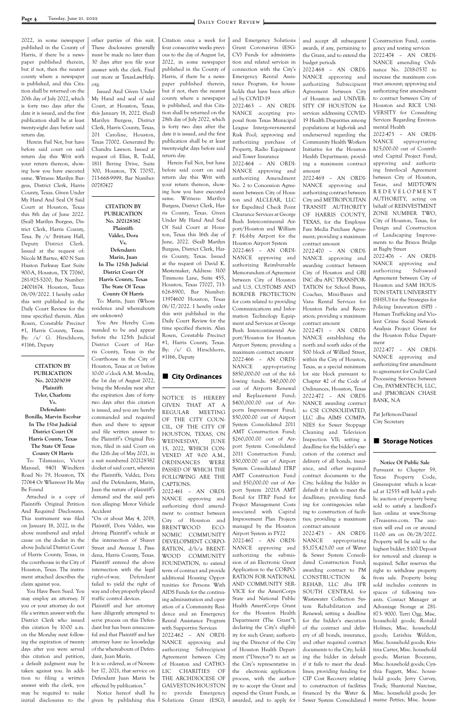2022, in some newspaper published in the County of Harris, if there be a newspaper published therein, but if not, then the nearest county where a newspaper is published, and this Citation shall be returned on the 20th day of July 2022, which is forty two days after the date it is issued, and the first publication shall be at least twenty-eight days before said return day.

Herein Fail Not, but have before said court on said return day this Writ with your return thereon, showing how you have executed same. Witness: Marilyn Burgess, District Clerk, Harris County, Texas. Given Under My Hand And Seal Of Said Court at Houston, Texas this 8th day of June 2022. (Seal) Marilyn Burgess, District Clerk, Harris County, Texa. By /s/ Brittany Hall, Deputy District Clerk. Issued at the request of: Nicole M Bartee, 400 N Sam Huston Parkway East Suite 900-A, Houston, TX 77060, 281-925-5200, Bar Number: 24001674. Houston, Texas 06/09/2022. I hereby order this writ published in the Daily Court Review for the time specified therein. Alan Rosen, Constable Precinct #1, Harris County, Texas. By: /s/ G. Hirschhorn, #1166, Deputy

#### **CITATION BY PUBLICATION No. 202203039 Plaintiff: Tyler, Charlotte Vs. Defendant: Bonilla, Marvin Escobar In The 151st Judicial District Court Of Harris County, Texas The State Of Texas County Of Harris**

To: Tilamasico, Victor Manuel, 9401 Windfern Road No 79, Houston, TX 77064 Or Wherever He May Be Found

Attached is a copy of Plaintiffs Original Petition And Required Disclosures. This instrument was filed on January 18, 2022, in the above numbered and styled cause on the docket in the above Judicial District Court of Harris County, Texas, in the courthouse in the City of Houston, Texas. The instrument attached describes the claim against you. You Have Been Sued. You may employ an attorney. If you or your attorney do not file a written answer with the District Clerk who issued this citation by 10:00 a.m. on the Monday next following the expiration of twenty days after you were served this citation and petition, a default judgment may be taken against you. In addition to filing a written answer with the clerk, you may be required to make initial disclosures to the

other parties of this suit. These disclosures generally must be made no later than 30 days after you file your answer with the clerk. Find out more at TexasLawHelp. org.

Issued And Given Under My Hand and seal of said Court, at Houston, Texas, this January 18, 2022. (Seal) Marilyn Burgess, District Clerk, Harris County, Texas, 201 Caroline, Houston, Texas 77002. Generated By: Chandra Lawson. Issued at request of: Elias, R. Todd, 1811 Bering Drive, Suite 300, Houston, TX 77057, 713-668-9999, Bar Number: 00787427

**CITATION BY PUBLICATION No. 202128382 Plaintiff: Valdez, Dora Vs. Defendant: Marin, Juan In The 125th Judicial District Court Of Harris County, Texas The State Of Texas County Of Harris** To: Marin, Juan (Whose

residence and whereabouts are unknown)

You Are Hereby Commanded to be and appear before the 125th Judicial District Court of Harris County, Texas in the Courthouse in the City of Houston, Texas at or before 10:00 o'clock A.M. Monday, the 1st day of August 2022, being the Monday next after the expiration date of fortytwo days after this citation is issued, and you are hereby commanded and required then and there to appear and file written answer to the Plaintiff's Original Petition, filed in said Court on the 12th day of May 2021, in a suit numbered 202128382 docket of said court, wherein the Plaintiffs, Valdez, Dora and the Defendants, Marin, Juan the nature of plaintiff's demand and the said petition alleging: Motor Vehicle Accident

"On or about May 4, 2019, Plaintiff, Dora Valdez, was driving Plaintiff's vehicle at the intersection of Shaver Street and Avenue I, Pasadena, Harris County, Texas. Plaintiff entered the above intersection with the legal right-of-way. Defendant failed to yield the right of way and obey properly placed traffic control devices. Plaintiff and her attorney have diligently attempted to serve process on this Defendant but has been unsuccessful and that Plaintiff and her attorney have no knowledge of the whereabouts of Defendant, Juan Marin. It is so ordered, as of November 17, 2021, that service on Defendant Juan Marin be effected by publication." Notice hereof shall be given by publishing this

Citation once a week for four consecutive weeks previous to the day of August 1st, 2022, in some newspaper published in the County of Harris, if there be a newspaper published therein, but if not, then the nearest county where a newspaper is published, and this Citation shall be returned on the 28th day of July 2022, which is forty two days after the date it is issued, and the first publication shall be at least twenty-eight days before said return day.

Herein Fail Not, but have before said court on said return day this Writ with your return thereon, showing how you have executed same. Witness: Marilyn Burgess, District Clerk, Harris County, Texas. Given Under My Hand And Seal Of Said Court at Houston, Texas this 16th day of June, 2022. (Seal) Marilyn Burgess, District Clerk, Harris County, Texas. Issued at the request of: David K. Mestemaker, Address: 3100 Timmons Lane, Suite 455, Houston, Texas 77027, 713- 626-8900, Bar Number: 13974600 Houston, Texas 06/17/2022. I hereby order this writ published in the Daily Court Review for the time specified therein. Alan Rosen, Constable Precinct #1, Harris County, Texas. By: /s/ G. Hirschhorn, #1166, Deputy

### **City Ordinances**

NOTICE IS HEREBY GIVEN THAT AT A REGULAR MEETING OF THE CITY COUN-CIL, OF THE CITY OF HOUSTON, TEXAS, ON WEDNESDAY, JUNE 15, 2022, WHICH CON-VENED AT 9:00 A.M., ORDINANCES WERE PASSED OF WHICH THE FOLLOWING ARE THE CAPTIONS: 2022-461 – AN ORDI-NANCE approving and authorizing third amend-

ment to contract between City of Houston and BRENTWOOD ECO-

NOMIC COMMUNITY DEVELOPMENT CORPO-RATION, d/b/a BRENT-WOOD COMMUNITY FOUNDATION, to extend term of contract and provide additional Housing Opportunities for Persons With AIDS Funds for the continuing administration and operation of a Community Residence and an Emergency Rental Assistance Program with Supportive Services 2022-462 – AN ORDI-NANCE approving and authorizing Subrecipient Agreement between City of Houston and CATHO-LIC CHARITIES OF THE ARCHDIOCESE OF GALVESTON-HOUSTON to provide Emergency Solutions Grant (ESG), and Emergency Solutions Grant Coronavirus (ESG-CV) Funds for administration and related services in connection with the City's Emergency Rental Assistance Program, for households that have been affect-

ed by COVID-19 2022-463 – AN ORDI-NANCE accepting proposal from Texas Municipal League Intergovernmental Risk Pool; approving and authorizing purchase of Property, Radio Equipment and Tower Insurance

2022-464 – AN ORDI-NANCE approving and authorizing Amendment No. 2 to Concession Agreement between City of Houston and ALCLEAR, LLC for Expedited Check Point Clearance Services at George Bush Intercontinental Airport/Houston and William P. Hobby Airport for the Houston Airport System 2022-465 – AN ORDI-NANCE approving and

authorizing Reimbursable Memorandum of Agreement between City of Houston and U.S. CUSTOMS AND BORDER PROTECTION for costs related to providing Communications and Information Technology Equipment and Services at George Bush Intercontinental Airport/Houston for Houston Airport System; providing a maximum contract amount 2022-466 – AN ORDI-NANCE appropriating \$850,000.00 out of the following funds: \$40,000.00 out of Airports Renewal and Replacement Fund; \$400,000.00 out of Airports Improvement Fund; \$50,000.00 out of Airport System Consolidated 2011 AMT Construction Fund; \$260,000.00 out of Airport System Consolidated 2011 Construction Fund; \$50,000.00 out of Airport System Consolidated ITRP AMT Construction Fund and \$50,000.00 out of Airport System 2021A AMT Bond for ITRP Fund for Project Management Costs associated with Capital Improvement Plan Projects managed by the Houston Airport System in FY22 2022-467 – AN ORDI-NANCE approving and authorizing the submission of an Electronic Grant Application to the CORPO-RATION FOR NATIONAL AND COMMUNITY SER-VICE for the AmeriCorps State and National Public Health AmeriCorps Grant for the Houston Health Department (The Grant"); declaring the City's eligibility for such Grant; authorizing the Director of the City of Houston Health Department ("Director") to act as the City's representative in the electronic application process, with the authority to accept the Grant and expend the Grant Funds, as awarded, and to apply for

and accept all subsequent awards, if any, pertaining to the Grant, and to extend the budget periods

2022-468 – AN ORDI-NANCE approving and authorizing Subrecipient Agreement between City of Houston and UNIVER-SITY OF HOUSTON for services addressing COVID-19 Health Disparities among populations at high-risk and underserved regarding the Community Health Workers Initiative for the Houston Health Department; providing a maximum contract amount

2022-469 – AN ORDI-NANCE approving and authorizing contract between City and METROPOLITAN TRANSIT AUTHORITY OF HARRIS COUNTY, TEXAS, for the Employee Fare Media Purchase Agreement; providing a maximum contract amount

2022-470 – AN ORDI-NANCE approving and awarding contract between City of Houston and GBJ INC dba AFC TRANSPOR-TATION for School Buses, Coaches, Mini-Buses and Vans Rental Services for Houston Parks and Recreation; providing a maximum contract amount

2022-471 – AN ORDI-NANCE establishing the north and south sides of the 500 block of Willard Street, within the City of Houston, Texas, as a special minimum lot size block pursuant to Chapter 42 of the Code of Ordinances, Houston, Texas 2022-472 – AN ORDI-NANCE awarding contract to CSI CONSOLIDATED, LLC dba AIMS COMPA-NIES for Sewer Stoppage Cleaning and Television Inspection VII; setting a deadline for the bidder's execution of the contract and delivery of all bonds, insurance, and other required contract documents to the City; holding the bidder in default if it fails to meet the deadlines; providing funding for contingencies relating to construction of facilities; providing a maximum contract amount 2022-473 – AN ORDI-NANCE appropriating \$5,175,423.00 out of Water & Sewer System Consolidated Construction Fund; awarding contract to PM CONSTRUCTION & REHAB, LLC dba IPR SOUTH CENTRAL for Wastewater Collection System Rehabilitation and Renewal; setting a deadline for the bidder's execution of the contract and delivery of all bonds, insurance, and other required contract documents to the City; holding the bidder in default if it fails to meet the deadlines; providing funding for CIP Cost Recovery relating to construction of facilities financed by the Water & Sewer System Consolidated Construction Fund, contingency and testing services

2022-474 – AN ORDI-NANCE amending Ordinance No. 2018-0537 to increase the maximum contract amount; approving and authorizing first amendment to contract between City of Houston and RICE UNI-VERSITY for Consulting Services Regarding Environmental Health

2022-475 – AN ORDI-NANCE appropriating \$25,000.00 out of Contributed Capital Project Fund; approving and authorizing Interlocal Agreement between City of Houston, Texas, and MIDTOWN R E D E V E L O P M E N T AUTHORITY, acting on behalf of REINVESTMENT ZONE NUMBER TWO, City of Houston, Texas, for Design and Construction of Landscaping Improvements to the Brazos Bridge at Bagby Street

2022-476 – AN ORDI-NANCE approving and authorizing Subaward Agreement between City of Houston and SAM HOUS-TON STATE UNIVERSITY (SHSU) for the Strategies for Policing Innovation (SPI) - Human Trafficking and Violent Crime Social Network Analysis Project Grant for the Houston Police Department

2022-477 – AN ORDI-NANCE approving and authorizing first amendment to agreement for Credit Card Processing Services between City, PAYMENTECH, LLC, and JPMORGAN CHASE BANK, N.A

Pat Jefferson-Daniel City Secretary

#### **Storage Notices**

**Notice Of Public Sale** Pursuant to Chapter 59, Texas Property Code, Greenspoint which is located at 12555 will hold a public auction of property being sold to satisfy a landlord's lien online at www.StorageTreasures.com. The auction will end on or around

11:00 am on 06/28/2022. Property will be sold to the highest bidder. \$100 Deposit for removal and cleanup is required. Seller reserves the right to withdraw property from sale. Property being sold includes contents in spaces of following tenants. Contact Manager at Advantage Storage at 281- 873- 9000. Terri Ogg, Misc. household goods; Ronald Holmes, Misc. household goods; Latishia Weldon, Misc. household goods; Kristina Carter, Misc. household goods; Marian Boceanu, Misc. household goods; Cynthia Faggett, Misc. household goods; Jerry Curvey, Truck; Shantorial Narcisse, Misc. household goods; Jermaine Petties, Misc. house-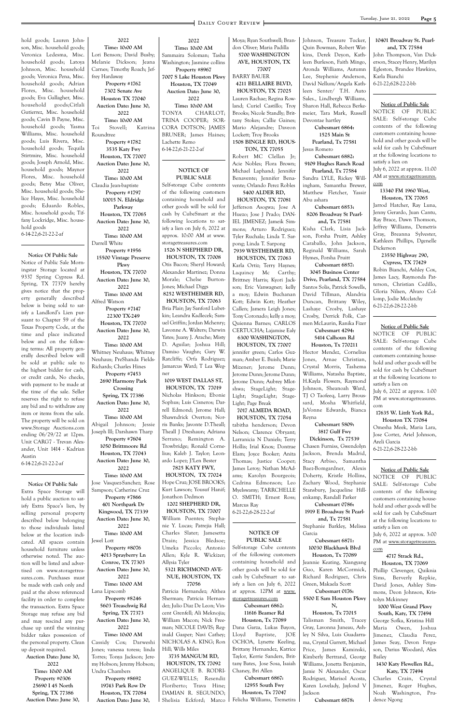hold goods; Lauren Johnson, Misc. household goods; Veronica Ledesma, Misc. household goods; Latoya Johnson, Misc. household goods; Veronica Pena, Misc. household goods; Adrian Flores, Misc. household goods; Eva Gallagher, Misc. household goods;Citlali Gutierrez, Misc. household goods; Cavin B Payne, Misc. household goods; Yasma Williams, Misc. household goods; Luis Rivera, Misc. household goods; Tequila Stirtmire, Misc. household goods; Joseph Arnold, Misc. household goods; Maynor Flores, Misc. household goods; Betsy Mae Oliver, Misc. household goods; Shelice Hayes, Misc. household goods; Eduardo Robles, Misc. household goods; Tiffany Lockridge, Misc. household goods 6-14-22;6-21-22-2-af

**Notice Of Public Sale**

Notice of Public Sale Morningstar Storage located at 9337 Spring Cypress Rd. Spring, TX 77379 hereby gives notice that the property generally described below is being sold to satisfy a Landlord's Lien pursuant to Chapter 59 of the Texas Property Code, at the time and place indicated below and on the following terms: All property generally described below will be sold at public sale to the highest bidder for cash, or credit cards, No checks, with payment to be made at the time of the sale. Seller reserves the right to refuse any bid and to withdraw any item or items from the sale. The property will be sold on www.Storage Auctions.com ending 06/29/22 at 12pm. Unit CARG7 - Trevan Alexander, Unit 1414 - Kadrian Austin 6-14-22;6-21-22-2-af

**Notice Of Public Sale** Extra Space Storage will hold a public auction to satisfy Extra Space's lien, by selling personal property described below belonging to those individuals listed below at the location indicated. All spaces contain household furniture unless otherwise noted. The auction will be listed and advertised on www.storagetreasures.com. Purchases must be made with cash only and paid at the above referenced facility in order to complete the transaction. Extra Space Storage may refuse any bid and may rescind any purchase up until the winning bidder takes possession of the personal property. Clean up deposit required. **Auction Date: June 30, 2022 Time: 10:00 AM Property #0306 25690 I 45 North Spring, TX 77386 Auction Date: June 30,** 

**2022**

**Time: 10:00 AM** Lori Benson; David Busby; Melanie Dickson; Jeana Carnes; Timothy Roach; Jeffrey Hardaway **Property #1762 7302 Senate Ave Houston TX 77040 Auction Date: June 30, 2022 Time: 10:00 AM** Toi Stovell; Katrina Roundtree **Property #1782 3535 Katy Fwy Houston, TX 77007 Auction Date: June 30, 2022 Time: 10:00 AM** Claudia Jean-baptiste **Property #1797 10015 N. Eldridge Parkway Houston, TX 77065 Auction Date: June 30, 2022 Time: 10:00 AM** Darrell White **Property #1956 15500 Vintage Preserve Pkwy Houston, TX 77070 Auction Date: June 30, 2022 Time: 10:00 AM** Alfred Watson **Property #7147 22300 TX-249 Houston, TX 77070 Auction Date: June 30, 2022 Time: 10:00 AM** Whitney Neuhaus; Whitney Neuhaus; PreShanda Fields-Richards; Charles Hines **Property #7453 2690 Harmony Park Crossing Spring, TX 77386 Auction Date: June 30, 2022 Time: 10:00 AM** Abigail Johnson; Jessie Joseph lll; Darshawn Tharp **Property #7604 1050 Brittmoore Rd Houston, TX 77043 Auction Date: June 30, 2022 Time: 10:00 AM** Jose Vasquez-Sanchez; Rose Sampson; Catherine Cruz **Property #7866 401 Northpark Dr Kingwood, TX 77339 Auction Date: June 30,** 

**2022**

**Time: 10:00 AM** Jewel Lott **Property #8076 4013 Sprayberry Ln Conroe, TX 77303 Auction Date: June 30, 2022 Time: 10:00 AM** Lana Lipscomb **Property #8246 5603 Treaschwig Rd Spring, TX 77373 Auction Date: June 30, 2022 Time: 10:00 AM** Cassidy Cox; Darweshi Jones; vanessa toress; linda Torres; Tonya Jackson; Jeremy Hobson; Jeremy Hobson; Undra Chambers **Property #8692 19743 Park Row Dr Houston, TX 77084 Auction Date: June 30,** 

**2022 Time: 10:00 AM** Sammaira Soloman; Tasha Washington; Jasmine collins **Property #8967 7007 S Lake Houston Pkwy Houston, TX 77049 Auction Date: June 30, 2022 Time: 10:00 AM** TONYA CHARLOT; TRINA COOPER; SOR-

CORA DOTSON; JAMES BRUNER; James Haines; Lachette Remo 6-14-22;6-21-22-2-af

#### **NOTICE OF PUBLIC SALE**

Self-storage Cube contents of the following customers containing household and other goods will be sold for cash by CubeSmart at the following locations to satisfy a lien on July 6, 2022 at approx. 10:00 AM at www. storagetreasures.com

**1526 N SHEPHERD DR, HOUSTON, TX 77008** Otis Bacon; Sheryl Howard; Alexander Martinez; Donna Morale; Chelse Burton-

Jones; Michael Diggs **8252 WESTHEIMER RD,** 

**HOUSTON, TX 77063** Bria Plair; Jay Sanford Lubetkin; Leandra Kadlecek; Samuel Griffin; Jordan Mchenry; Lavonne A. Walters; Darwin Yates; Juany J. Arache; Misty D. Aguilar; Joshua Hill; Damiso Vaughn; Gary W. Ratcliffe; Orfa Rodriguez; Jamarcus Ward; T Lea Wegner

**1019 WEST DALLAS ST, HOUSTON, TX 77019** Nicholas Hinkson; Ebonie Sophus; Luis Cisneros; Darrell Edmond; Jerome Hall; Shawndrick Overton; Norris Banks; Javonte D.Theall; Theall J Dreshaun; Adriana Serrano; Remington A. Trowbridge; Ronald Cornelius; Kaleb J. Taylor; Leonardo Lopez; J?Len Bester

**7825 KATY FWY, HOUSTON, TX 77024** Hope Cruz; JOSE BROOKS; Kurt Lawson; Yousuf Hanif; Jonathon Dedmon

**1202 SHEPHERD DR, HOUSTON, TX 77007** William Puentes; Stephanie Y. Lucas; Patrejia Hall; Charles Slater; Jamesetta Drain; Jessica Bledsoe; Umeka Piccolo; Antonio Allen; Kyle R. Wickizer; Allysia Tyler **5321 RICHMOND AVE-NUE, HOUSTON, TX 77056** Patricia Hernandez; Althea Sherman; Patricia Hernandez; Julio Diaz De Leon; Vincent Grenfell; Ali Meknojia; William Macon; Nick Freeman; NICOLE DAVIS; Reginald Gasper; Navi Cathey; NICHOLAS A. KING; Ron Hill; Wills Miles **3735 MANGUM RD, HOUSTON, TX 77092** ANGELIQUE B. RODRI-GUEZ-WELLS; Resendiz Floriberto; Trava Hine; DAMIAN R. SEGUNDO; Shelisia Eckford; Marco

Moya; Ryan Southwell; Brandon Oliver; Maria Padilla **5700 WASHINGTON AVE, HOUSTON, TX 77007**

BARRY BAUER **4211 BELLAIRE BLVD, HOUSTON, TX 77025** Lauren Rachae; Regina Rowland; Curiel Castillo; Troy Brooks; Nicole Standly; Brittany Stokes; Callie Gaines; Mario Alejandre; Daveon Lockett; Troy Brooks **1508 BINGLE RD, HOUS-**

**TON, TX 77055** Robert MC Clellan Jr; Acie Nobles; Flora Brown; Michael Laphand; Jennifer Benavente; Jennifer Benavente; Orlando Perez Robles **5400 ALDER RD,**

**HOUSTON, TX 77081** Jefferson Asogwa; Jose A Huezo; Jose J Prado; DAN-IEL JIMENEZ; Jameik Simmons; Arturo Rodriguez; Tyler Ruchala; Linda T. Sarpong; Linda T. Sarpong **7939 WESTHEIMER RD,** 

**HOUSTON, TX 77063** Karla Ortiz; Terry Haynes; Laquincy Mc Carthy; Brittney Harris; Kyori Jackson; Eric Vanwagner; kelly a moy; Edwin Buchanan Kott; Edwin Kott; Heather Callen; Jamera Leigh Jones; Tony Coronado; kelly a moy; Quienna Barnes; CARLOS CERTUCHA; Lajamise Ealy

**6300 WASHINGTON, HOUSTON, TX 77007** jennifer green; Carlos Guzman; Amber E. Buish; Marie Mizener; Jerome Dunn; Jerome Dunn; Jerome Dunn; Jerome Dunn; Aubrey Mlotshwa; StageLight; Stage-Light; StageLight; Stage-Light; Page Break

**7017 ALMEDA ROAD, HOUSTON, TX 77054** tabitha henderson; Devon Nelson; Clarence Obryant; Larranicia N Daniels; Terry Hollis; Irial Knox; Dontrae Elam; Joyce Booker; Anita Thomas; Justice Cooper; James Leroy; Nathan McAdams; Karolyn Bourgeois; Cedrina Edmonson; Leo Myelswamy; TARRCHELLE O. SMITH; Ernest Ross; Marcus Ray

6-21-22;6-28-22-2-af

Johnson, Treasure Tucker, Quin Bowman, Robert Watkins, Derek Deyon, Kathleen Burleson, Faith Mingo, Aronda Williams, Autumn Lee, Stephenie Anderson, David Nellum/Angela Kathleen Senter/ T.H. Auto Sales., Lindbergh Williams, Sharon Hall, Rebecca Berkemeier, Tara Mark, Russell Devontae hartley **Cubesmart 6864:**

**1525 Main St Pearland, Tx 77581** Jesus Romero

**Cubesmart 6882: 9109 Hughes Ranch Road** 

**Pearland, Tx 77584** Sandra LYLE, Rickey Willingham, Samantha Brewer, Matthew Fletcher, Yassir Abu ashara

**Cubesmart 6853: 8206 Broadway St Pearland, Tx 77581**

Kisha Clark, Lisia Jackson, Porsha Pruitt, Ashley Caraballo, John Jackson, Reginald Williams, Sarah Hymes, Porsha Pruitt

**Cubesmart 6857:**

**NOTICE OF PUBLIC SALE** Self-storage Cube contents of the following customers containing household and other goods will be sold for cash by CubeSmart to satisfy a lien on July 6, 2022 at approx. 12PM at www. storagetreasures.com **Cubesmart 6862: 11616 Beamer Rd Houston, Tx 77089** Dana Garza, Lukas Bayon, Lloyd Baptiste, JOE OCHOA, Lynette Keeling, Brittany Hernandez, Katrice Taylor, Kerrie Sanders, Brittany Bates, Jose Sosa, Isaiah Chaney, Bri Allen **Cubesmart 6867: 12955 South Fwy Houston, Tx 77047** Felicha Williams, Tremetira Garcia **Cubesmart 6871: 10030 Blackhawk Blvd Houston, Tx 77089** Jeannie Keating, Xiangyang Guo, Karen McCormick, Richard Rodriguez, Chris Green, Makaela Scott **Cubesmart 0176: 5500 E Sam Houston Pkwy Houston, Tx 77015** Talisman Smith, Tracey Gray, Lavonna Juneau, Ashley N Silva, Luis Guadarrama, Crystal Garrett, Michael Price, James Kaminski, Kimberly Bertrand, George Williams, Jonetta Benjamin, Jamie N Alexander, Oscar Rodriguez, Marisol Acosta, Karen Lovelady, Jaylond V Jackson **Cubesmart 6878:**

**3045 Business Center Drive, Pearland, TX 77584** Santos Solis, Patrick Sowells, David Tillman, Alandria Duncan, Brittany Wiley, Lashaye Crosby, Lashaye Crosby, Derrick Polk, Carmen McLaurin, Ranika Fizer

# **Cubesmart 4294: 5414 Calhoun Rd**

**Houston, Tx 770211** Hector Mendez, Cornelius Jones, Arnae Christian, Crystal Morris, Tashema Williams, Natasha Baptiste, H.Kayla Flowers, Raymond Johnson, Sheanoah Ward, TJ O Taofeeq, Larry Broussard, Mosha Whitfield, JaVonne Edwards, Bianca Reyna

#### **Cubesmart 5809: 3817 Gulf Fwy**

**Dickinson, Tx 77539** Chasen Furniss, Gwendolyn Jackson, Brenda Madrid, Stacy Arbiso, Samantha Baez-Bomgardner, Alexis Doherty, Kristle Hollins, Zachary Wood, Stephanie Stansbury, Jacqueline Hillenkamp, Randall Parker

**Cubesmart 0786: 1919 E Broadway St Pearland, Tx 77581**

Stephanie Barkley, Melissa

**N,**

#### **10401 Broadway St. Pearland, TX 77584**

John Thompson, Van Dickerson, Stacey Henry, Marilyn Egleston, Brandee Hawkins, Karla Bianchi 6-21-22;628-22-2-bb

#### **Notice of Public Sale**

NOTICE OF PUBLIC SALE: Self-storage Cube contents of the following customers containing household and other goods will be sold for cash by CubeSmart at the following locations to satisfy a lien on July 6, 2022 at approx. 11:00 AM at www.storagetreasures. com

**13340 FM 1960 West, Houston, TX 77065**

Jarrod Hatcher, Ray Luna, Jenny Gerardo, Juan Cantu, Ray Brace, Dawn Thomson, Jeffrey Williams, Demetris Gray, Breanna Sylvester, Kathleen Phillips, Dgenelle Dickerson

#### **23550 Highway 290, Cypress, TX 77429**

Robin Bianchi, Ashley Cox, James Lacy, Raymonda Patterson, Christian Cedillo, Gloria Nilsen, Alvaro Collomp, Jodie Mcclatchy 6-21-22;6-28-22-2-bb

#### **Notice of Public Sale**

NOTICE OF PUBLIC SALE: Self-storage Cube contents of the following customers containing household and other goods will be sold for cash by CubeSmart at the following locations to satisfy a lien on

July 6, 2022 at approx. 1:00 PM at www.storagetreasures. com

**17635 W. Littlt York Rd., Houston TX 77084**

Omesha Meek, Maria Lara, Jose Cortez, Ariel Johnson, Areli Garcia 6-21-22;6-28-22-2-bb

#### **Notice of Public Sale**

NOTICE OF PUBLIC SALE: Self-storage Cube contents of the following customers containing household and other goods will be sold for cash by CubeSmart at the following locations to satisfy a lien on

July 6, 2022 at approx. 3:00 PM at www.storagetreasures. com **4717 Strack Rd.,**

**Houston, TX 77069** Phillip Clevenger, Quiknia Sims, Berverly Repkie, David Jones, Ashley Simmons, Deon Johnson, Kristolyn Mckinney

**1000 West Grand Pkwy South, Katy, TX 77494** George Sofka, Kristina Hill Maria Owen, Joshua Jimenez, Claudia Perez, James Seay, Devon Ferguson, Darius Woodard, Alex Bailey

**1430 Katy Flewellen Rd., Katy, TX 77494**

Charles Crain, Crystal Jimenez, Roger Hughes, Noah Washington, Prudence Ngong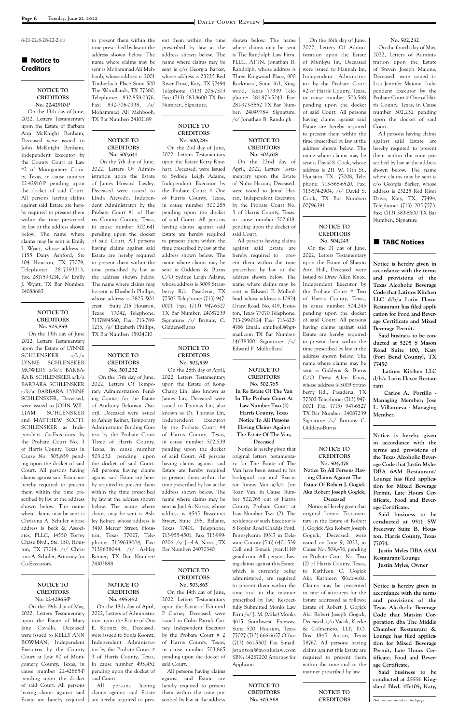#### ■ Notice to **Creditors**

# 6-21-22;6-28-22-2-bb

#### **NOTICE TO CREDITORS No. 22-42910-P**

 On the 13th day of June, 2022, Letters Testamentary upon the Estate of Barbara Ann McKnight Benham, Deceased were issued to John McKnight Benham, Independent Executor by the County Court at Law #2 of Montgomery County, Texas, in cause number 22-42910-P pending upon the docket of said Court. All persons having claims against said Estate are hereby required to present them within the time prescribed by law at the address shown below. The name where claims may be sent is Emily J. Wyatt, whose address is 1155 Dairy Ashford, Ste 104 Houston, TX 77079, Telephone: 2817593213, Fax: 2817593214, /s/ Emily J. Wyatt, TX Bar Number: 24088685

#### **NOTICE TO CREDITORS No. 505,859**

 On the 13th day of June 2022, Letters Testamentary upon the Estate of LYNNE SCHLENSKER a/k/a LYNNE SCHLENSKER MOWERY a/k/a BARBA-RA B. SCHLENSKER a/k/a BARBARA SCHLENSKER a/k/a BARBARA LYNNE SCHLENSKER, Deceased, were issued to JOHN WIL-LIAM SCHLENSKER and MATTHEW SCOTT SCHLENSKER as Independent Co-Executors by the Probate Court No. 3 of Harris County, Texas in Cause No. 505,859 pending upon the docket of said Court. All persons having claims against said Estate are hereby required to present them within the time prescribed by law at the address shown below. The name where claims may be sent is Christina A. Schuler whose address is Beck & Associto present them within the time prescribed by law at the address shown below. The name where claims may be sent is Mohammad Ali Mehboob, whose address is 2001 Timberloch Place Suite 500 The Woodlands, TX 77380, Telephone: 832-858-0376, Fax: 832-706-0938, /s/ Mohammad Ali Mehboob, TX Bar Number: 24102189

#### **NOTICE TO CREDITORS No. 500,641**

 On the 7th day of June, 2022, Letters Of Administration upon the Estate of James Howard Lawley, Deceased were issued to Linda Azevedo, Independent Administrator by the Probate Court #1 of Harris County County, Texas, in cause number 500,641 pending upon the docket of said Court. All persons having claims against said Estate are hereby required to present them within the time prescribed by law at the address shown below. The name where claims may be sent is Elizabeth Phillips, whose address is 2825 Wilcrest Suite 215 Houston, Texas 77042, Telephone: 7137894560, Fax: 713-789- 1213, /s/ Elizabeth Phillips, TX Bar Number: 15924010

#### **NOTICE TO CREDITORS No. 503,232**

 On the 17th day of June, 2022, Letters Of Temporary Administration Pending Contest for the Estate of Anthony Belonwu Osuorji, Deceased were issued to Ashley Reiner, Temporary Administrator Pending Contest by the Probate Court Three of Harris County, Texas, in cause number 503,232 pending upon the docket of said Court. All persons having claims against said Estate are hereby required to present them within the time prescribed by law at the address shown below. The name where claims may be sent is Ashley Reiner, whose address is 3410 Mercer Street, Housent them within the time prescribed by law at the address shown below. The name where claims may be sent is c/o Georgia Barker, whose address is 23225 Red River Drive, Katy, TX 77494 Telephone: (713) 205-7573 Fax: (713) 583-8600 TX Bar Number:, Signature:

#### **NOTICE TO CREDITORS No. 500,285**

On the 2nd day of June, 2022, Letters Testamentary upon the Estate Kerry Rinehart, Deceased, were issued to Sydnee Leigh Adams, Independent Executor by the Probate Court # One of Harris County, Texas, in cause number 500,285 pending upon the docket of said Court. All persons having claims against said Estate are hereby required to present them within the time prescribed by law at the address shown below. The name where claims may be sent is Giddens & Burns C/O Sydnee Leigh Adams, whose address is 3009 Strawberry Rd., Pasadena, TX 77502 Telephone: (713) 947- 0001 Fax: (713) 947-6527 TX Bar Number: 24087239 Signature: /s/ Brittany C. Giddens-Burns

#### **NOTICE TO CREDITORS No. 502,539**

 On the 28th day of April, 2022, Letters Testamentary upon the Estate of Rong-Chang Lin, also known as James Lin, Deceased were issued to Thomas Lin, also known as Dr. Thomas Lin, Independent Executor by the Probate Court #4 of Harris County, Texas, in cause number 502,539 pending upon the docket of said Court. All persons having claims against said Estate are hereby required to present them within the time prescribed by law at the address shown below. The name where claims may be sent is Joel A. Norris, whose address is 4545 Bissonnet Street, Suite 298, Bellaire, Texas 77401, Telephone: shown below. The name where claims may be sent is The Randolph Law Firm, PLLC; ATTN: Jonathan B. Randolph, whose address is Three Kingwood Place, 800 Rockmead, Suite 163, Kingwood, Texas 77339 Telephone: 281-973-5243 Fax: 281-973-5852 TX Bar Number: 24049784 Signature: /s/ Jonathan B. Randolph

#### **NOTICE TO CREDITORS No. 502,618** On the 22nd day of

April, 2022, Letters Testamentary upon the Estate of Nuha Hazzan, Deceased, were issued to Jamal Hazzan, Independent Executor, by the Probate Court No. 3 of Harris County, Texas, in cause number 502,618, pending upon the docket of said Court.

|                                     |                              |                               |                                 |                                | ricceway outile by rious      |
|-------------------------------------|------------------------------|-------------------------------|---------------------------------|--------------------------------|-------------------------------|
| ates, PLLC, 14550 Torrey            | ton, Texas 77027, Tele-      | 713-955-4501, Fax: 713-999-   | Pennsylvania 19317 in Dela-     | Gogick, Deceased, were         | ton, Harris County, Texas     |
| Chase Blvd., Ste. 150, Hous-        | phone: 7139638004, Fax:      | 0206, /s/ Joel A. Norris, TX  | ware County (516) 640-1539      | issued on June 9, 2022, in     | 77074.                        |
| ton, TX 77014. $\frac{s}{m}$ Chris- | 7139638044, $/s/$ Ashley     | Bar Number: 24070340          | Cell and E-mail: jtvan111@      | Cause No. 504,476, pending     | Justin Myles DBA 6AM          |
| tina A. Schuler, Attorney for       | Reiner, TX Bar Number:       |                               | gmail.com. All persons hav-     | in Probate Court No. Two       | Restaurant/Lounge             |
| Co-Executors.                       | 24103898                     |                               | ing claims against this Estate, | (2) of Harris County, Texas,   | Justin Myles, Owner           |
|                                     |                              | NOTICE TO                     | which is currently being        | to Kathleen C, Gogick          |                               |
|                                     |                              | <b>CREDITORS</b>              | administered, are required      | Aka Kathleen Wadowski.         |                               |
| NOTICE TO                           | NOTICE TO                    | No. 503,865                   | to present them within the      | Claims may be presented        | Notice is hereby given in     |
| <b>CREDITORS</b>                    | <b>CREDITORS</b>             | On the 14th day of June,      | time and in the manner          | in care of attorneys for the   | accordance with the terms     |
| No. 22-42865-P                      | No. 495,452                  | 2022, Letters Testamentary    | prescribed by law. Respect-     | Estate addressed as follows:   | and provisions of the         |
| On the 19th day of May,             | On the 18th day of April,    | upon the Estate of Edmund     | fully Submitted Monks Law       | Estate of Robert J. Gogick     | Texas Alcoholic Beverage      |
| 2022, Letters Testamentary          | 2022, Letters of Administra- | P Carney, Deceased, were      | Firm /s/ J. M. (Mike) Monks     | Aka Robert Joseph Gogick,      | Code that Matsim Cor-         |
| upon the Estate of Mary             | tion upon the Estate of Otis | issued to Colin Patrick Car-  | 4615 Southwest Freeway,         | Deceased, c/o Vacek, Kiecke    | poration dba The Middle       |
| Jane Cavallo, Deceased              | E. Koontz, Sr., Deceased,    | ney, Independent Executor     | Suite 520, Houston, Texas       | & Colmenero, LLP, P.O.         | Chamber Restaurant &          |
| were issued to KELLY ANN            | were issued to Sonja Koontz, | by the Probate Court # 2      | 77027 (713) 666-6657 Office     | Box 1845, Austin, Texas        | Lounge has filed applica-     |
| BOWMAN, Independent                 | Independent Administra-      | of Harris County, Texas,      | (713) 661-5302 Fax E-mail:      | 78767. All persons having      | tion for Mixed Beverage       |
| Executrix by the County             | tor by the Probate Court #   | in cause number 503,865       | jstanton@monkslaw.com           | claims against this Estate are | Permit, Late Hours Cer-       |
| Court at Law #2 of Mont-            | 3 of Harris County, Texas,   | pending upon the docket of    | SBN: 14267200 Attorney for      | required to present them       | tificate, Food and Bever-     |
| gomery County, Texas, in            | in cause number 495,452      | said Court.                   | Applicant                       | within the time and in the     | age Certificate.              |
| cause number 22-42865-P             | pending upon the docket of   | All persons having claims     |                                 | manner prescribed by law.      | Said business to be           |
| pending upon the docket             | said Court.                  | against said Estate are       |                                 |                                | conducted at 25551 King-      |
| of said Court. All persons          | All<br>having<br>persons     | hereby required to present    | NOTICE TO                       |                                | sland Blvd. #B-105, Katy,     |
| having claims against said          | claims against said Estate   | them within the time pre-     | <b>CREDITORS</b>                | NOTICE TO                      |                               |
| Estate are hereby required          | are hereby required to pres- | scribed by law at the address | No. 503,568                     | <b>CREDITORS</b>               | Notices continued on backpage |

All persons having claims against said Estate are hereby required to present them within the time prescribed by law at the address shown below. The name where claims may be sent is Edward F. Mulholland, whose address is 10924 Grant Road, No. 419, Houston, Texas 77070 Telephone: 713-299-0124 Fax: 713-622- 4766 Email: emulholl@hptmail.com TX Bar Number: 14638300 Signature: /s/ Edward F. Mulholland

## **NOTICE TO CREDITORS**

**No. 502,765 In Re Estate Of The Van In The Probate Court At Law Number Two (2) Harris County, Texas Notice To All Persons Having Claims Against The Estate Of The Van,** 

**Deceased** Notice is hereby given that original letters testamentary for The Estate of The Van have been issued to his biological son and Executor Jimmy Van a/k/a Jim Toan Van, in Cause Number 502,765 out of Harris County Probate Court at Law Number Two (2). The residence of such Executor is 8 Poplar Road Chadds Ford,

 On the 16th day of June, 2022, Letters Of Administration upon the Estate of Munkyu Im, Deceased were issued to Hannah Im, Independent Administrator by the Probate Court #2 of Harris County, Texas, in cause number 503,568 pending upon the docket of said Court. All persons having claims against said Estate are hereby required to present them within the time prescribed by law at the address shown below. The name where claims may be sent is David S. Cook, whose address is 211 W. 11th St., Houston, TX 77008, Telephone: 713-568-6520, Fax: 713-574-2904, /s/ David S. Cook, TX Bar Number: 00796391

#### **NOTICE TO CREDITORS No. 504,245**

On the 01 day of June, 2022, Letters Testamentary upon the Estate of Sharon Ann Hall, Deceased, were issued to Drew Allen Knox, Independent Executor by the Probate Court # Two of Harris County, Texas, in cause number 504,245 pending upon the docket of said Court. All persons having claims against said Estate are hereby required to present them within the time prescribed by law at the address shown below. The name where claims may be sent is Giddens & Burns C/O Drew Allen Knox, whose address is 3009 Strawberry Rd., Pasadena, TX 77502 Telephone: (713) 947- 0001 Fax: (713) 947-6527 TX Bar Number: 24087239 Signature: /s/ Brittany C. Giddens-Burns

#### **NOTICE TO CREDITORS No. 504,476**

**Notice To All Persons Having Claims Against The Estate Of Robert J. Gogick Aka Robert Joseph Gogick, Deceased**

Notice is Hereby given that original Letters Testamentary in the Estate of Robert J. Gogick Aka Robert Joseph

#### **No. 502,232**

On the fourth day of May, 2022, Letters of Administration upon the Estate of Steven Joseph Maione, Deceased, were issued to Lisa Jennifer Maione, Independent Executor by the Probate Court # One of Harris County, Texas, in Cause number 502,232 pending upon the docket of said Court.

All persons having claims against said Estate are hereby required to present them within the time prescribed by law at the address shown below. The name where claims may be sent is c/o Georgia Barker, whose address is 23225 Red River Drive, Katy, TX, 77494, Telephone: (713) 205-7573, Fax: (713) 583-8600 TX Bar Number:, Signature

### **TABC Notices**

**Notice is hereby given in accordance with the terms and provisions of the Texas Alcoholic Beverage Code that Latinos Kitchen LLC d/b/a Latin Flavor Restaurant has filed application for Food and Beverage Certificate and Mixed Beverage Permit.**

 **Said business to be conducted at 5205 S Mason Road Suite 100, Katy (Fort Bend County), TX 77450**

 **Latinos Kitchen LLC d/b/a Latin Flavor Restaurant**

 **Carlos A. Portillo - Managing Member; Jose L. Villanueva - Managing Member.**

**Notice is hereby given in accordance with the terms and provisions of the Texas Alcoholic Beverage Code that Justin Myles DBA 6AM Restaurant/ Lounge has filed application for Mixed Beverage Permit, Late Hours Certificate, Food and Beverage Certificate.**

**Said business to be conducted at 9511 SW Freeeway Suite B, Hous-**